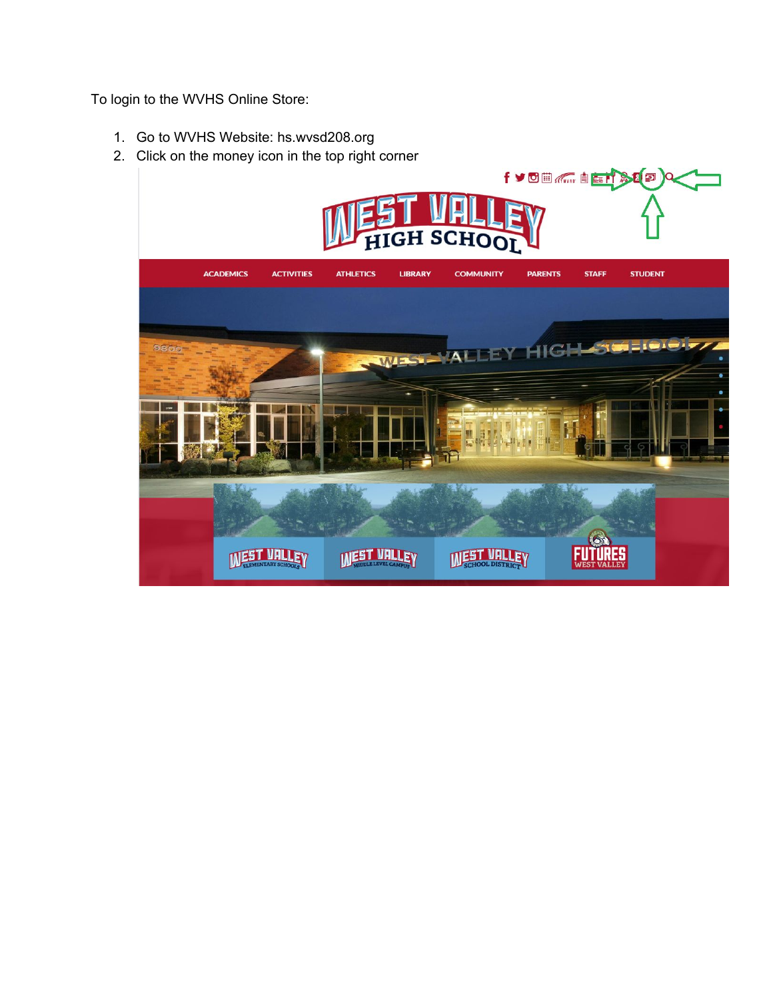To login to the WVHS Online Store:

- 1. Go to WVHS Website: hs.wvsd208.org
- 2. Click on the money icon in the top right corner

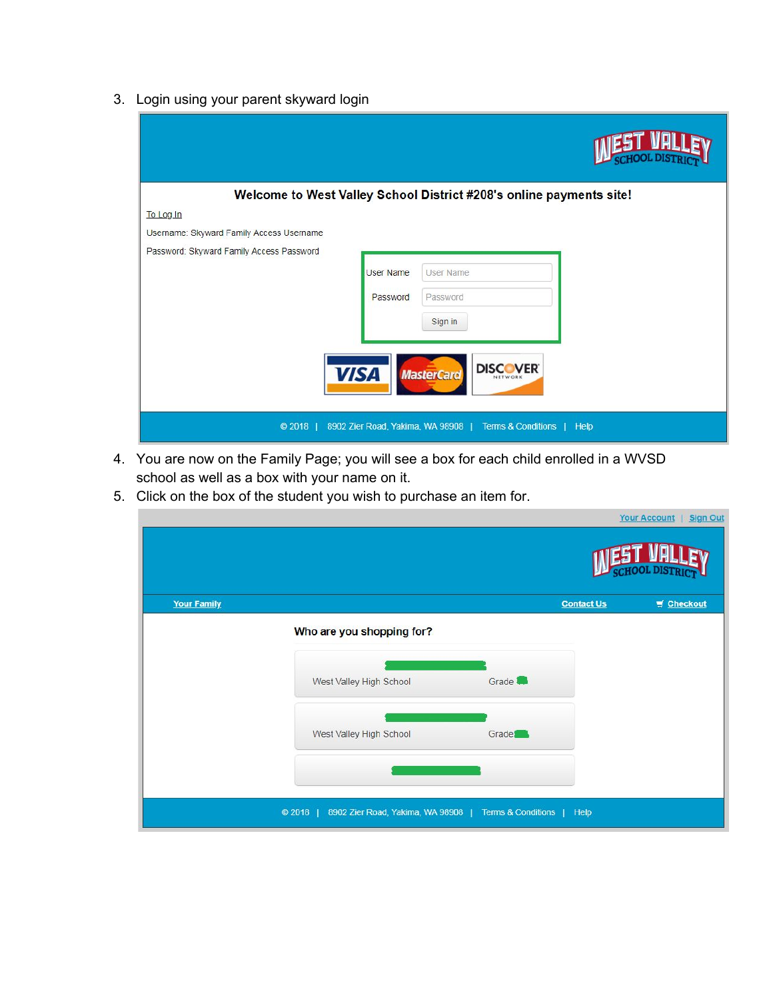3. Login using your parent skyward login

|                                          |                              | Welcome to West Valley School District #208's online payments site!                                             |  |
|------------------------------------------|------------------------------|-----------------------------------------------------------------------------------------------------------------|--|
| To Log In                                |                              |                                                                                                                 |  |
| Username: Skyward Family Access Username |                              |                                                                                                                 |  |
| Password: Skyward Family Access Password | <b>User Name</b><br>Password | <b>User Name</b><br>Password<br>Sign in                                                                         |  |
| <b>VISA</b><br>C 2018                    |                              | <b>DISCOVER</b><br><b>MasterCard</b><br>NETWORK<br>8902 Zier Road, Yakima, WA 98908   Terms & Conditions   Help |  |

- 4. You are now on the Family Page; you will see a box for each child enrolled in a WVSD school as well as a box with your name on it.
- 5. Click on the box of the student you wish to purchase an item for.

| <b>Your Family</b> |                                                                           |                    | <b>Contact Us</b> | Checkout |
|--------------------|---------------------------------------------------------------------------|--------------------|-------------------|----------|
|                    | Who are you shopping for?                                                 |                    |                   |          |
|                    | West Valley High School                                                   | Grade <sup>1</sup> |                   |          |
|                    | West Valley High School                                                   | Grade <sup>1</sup> |                   |          |
|                    | $@2018$  <br>8902 Zier Road, Yakima, WA 98908   Terms & Conditions   Help |                    |                   |          |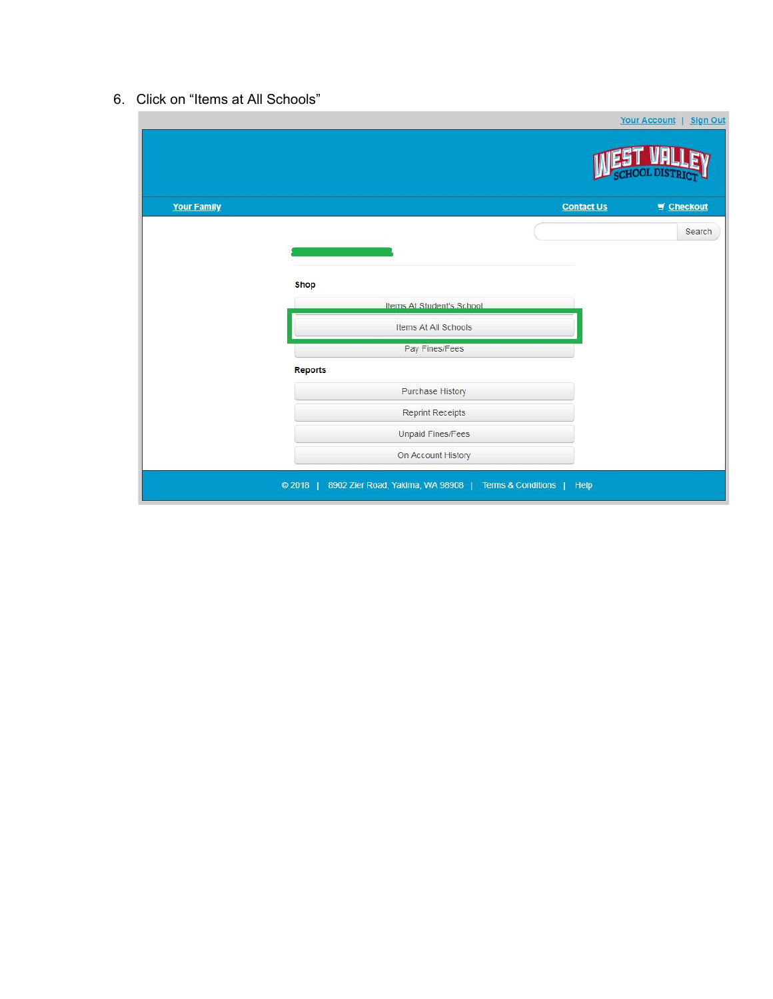## 6. Click on "Items at All Schools"

| <b>Your Family</b> |                           | <b>Contact Us</b> | $\blacksquare$ Checkout |
|--------------------|---------------------------|-------------------|-------------------------|
|                    |                           |                   | Search                  |
|                    |                           |                   |                         |
|                    | <b>Shop</b>               |                   |                         |
|                    | Items At Student's School |                   |                         |
|                    | Items At All Schools      |                   |                         |
|                    | Pay Fines/Fees            |                   |                         |
|                    | Reports                   |                   |                         |
|                    | <b>Purchase History</b>   |                   |                         |
|                    | Reprint Receipts          |                   |                         |
|                    | Unpaid Fines/Fees         |                   |                         |
|                    | On Account History        |                   |                         |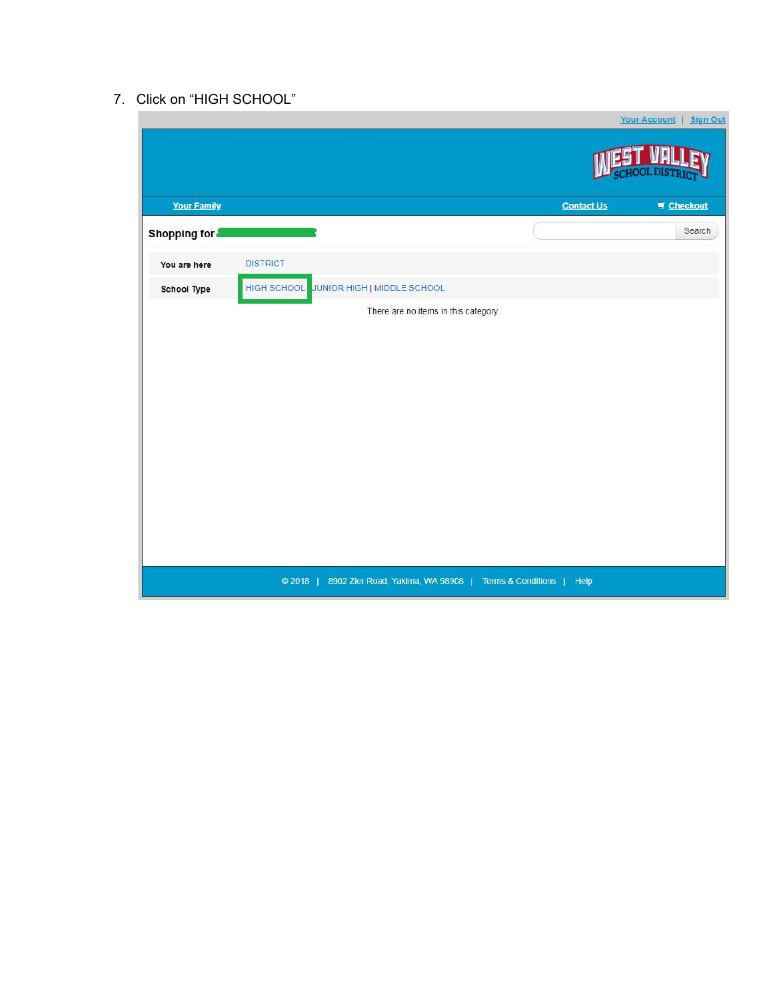## 7. Click on "HIGH SCHOOL"

|                    | <u>Your Account</u> Sign Out                                            |
|--------------------|-------------------------------------------------------------------------|
|                    |                                                                         |
| <b>Your Family</b> | <b>Contact Us</b><br>$\blacksquare$ Checkout                            |
| Shopping for       | Search                                                                  |
| You are here       | <b>DISTRICT</b>                                                         |
| <b>School Type</b> | HIGH SCHOOL JUNIOR HIGH   MIDDLE SCHOOL                                 |
|                    | There are no items in this category.                                    |
|                    |                                                                         |
|                    |                                                                         |
|                    |                                                                         |
|                    |                                                                         |
|                    |                                                                         |
|                    |                                                                         |
|                    |                                                                         |
|                    |                                                                         |
|                    |                                                                         |
|                    | 8902 Zier Road, Yakima, WA 98908   Terms & Conditions   Help<br>$@2018$ |
|                    |                                                                         |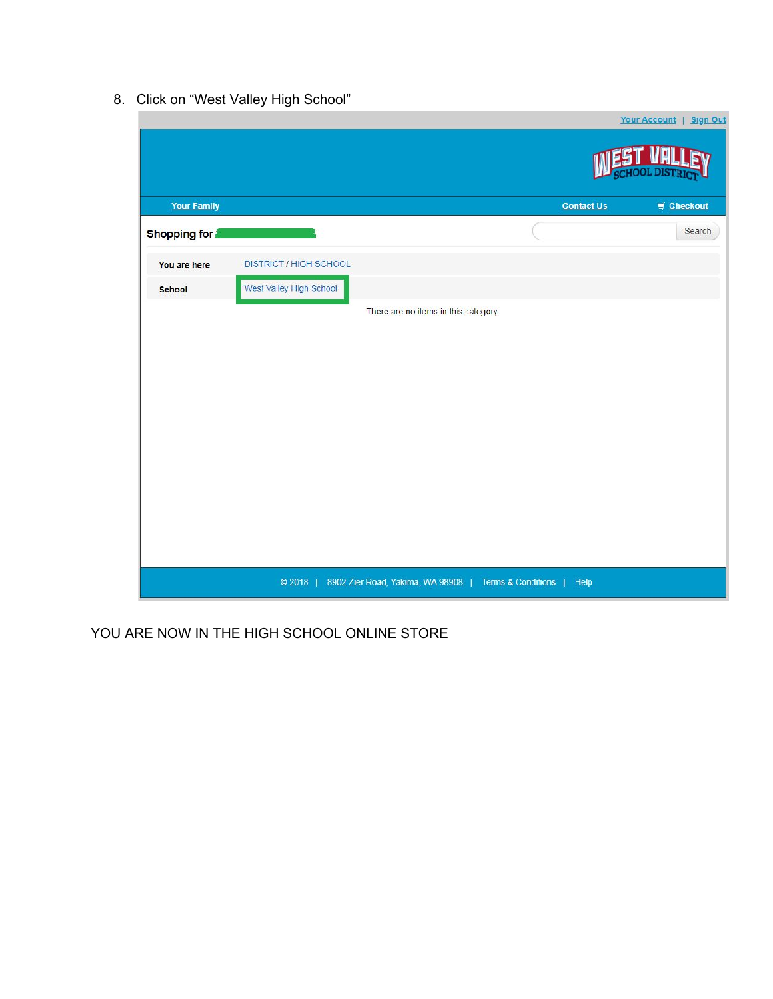8. Click on "West Valley High School"



YOU ARE NOW IN THE HIGH SCHOOL ONLINE STORE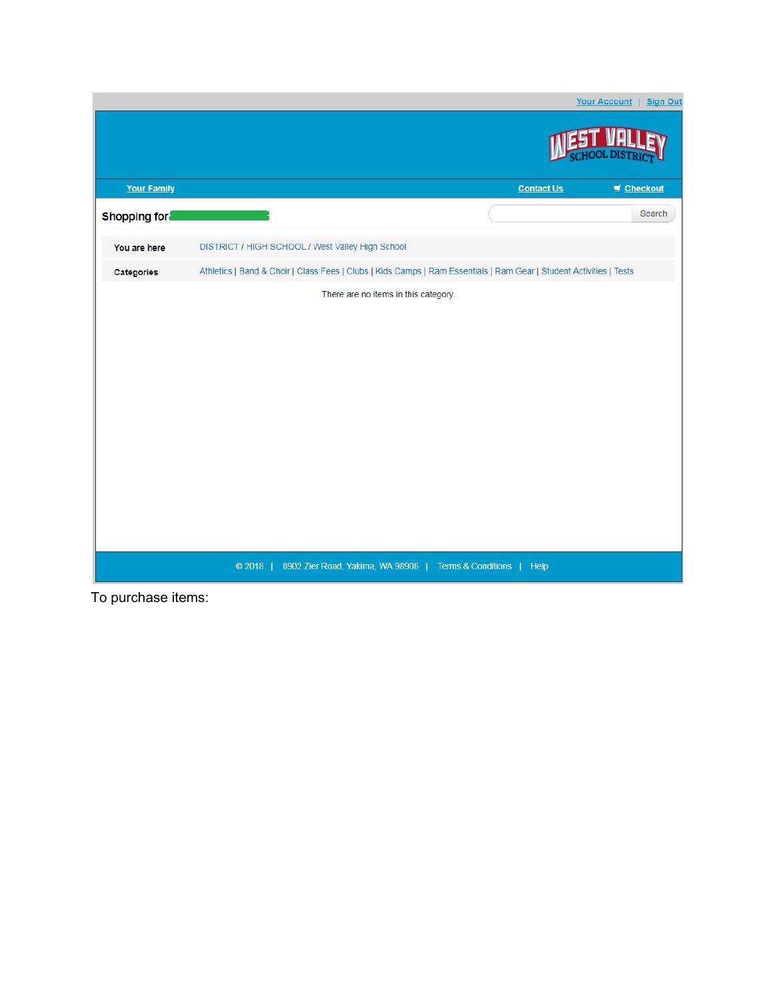

To purchase items: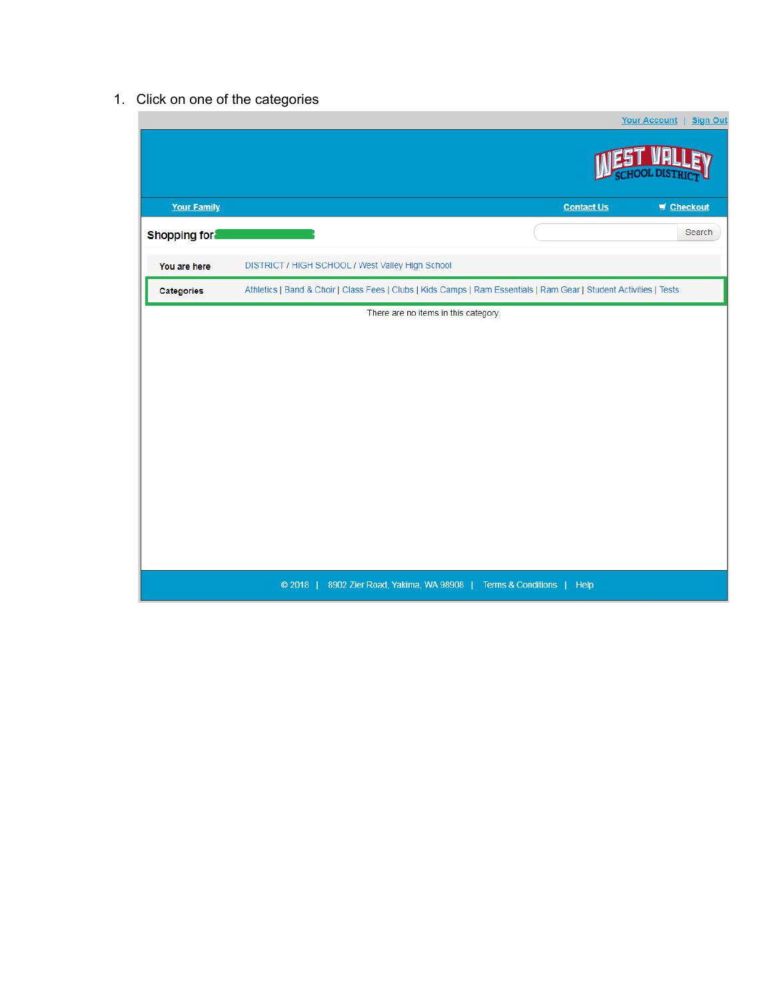## 1. Click on one of the categories

|                     |                                                                                                                     |                   | <b>Your Account</b><br><b>Sign Out</b> |
|---------------------|---------------------------------------------------------------------------------------------------------------------|-------------------|----------------------------------------|
|                     |                                                                                                                     |                   |                                        |
| <b>Your Family</b>  |                                                                                                                     | <b>Contact Us</b> | $\blacksquare$ Checkout                |
| <b>Shopping for</b> |                                                                                                                     |                   | Search                                 |
| You are here        | DISTRICT / HIGH SCHOOL / West Valley High School                                                                    |                   |                                        |
| <b>Categories</b>   | Athletics   Band & Choir   Class Fees   Clubs   Kids Camps   Ram Essentials   Ram Gear   Student Activities   Tests |                   |                                        |
|                     | There are no items in this category.                                                                                |                   |                                        |
|                     |                                                                                                                     |                   |                                        |
|                     |                                                                                                                     |                   |                                        |
|                     |                                                                                                                     |                   |                                        |
|                     |                                                                                                                     |                   |                                        |
|                     |                                                                                                                     |                   |                                        |
|                     |                                                                                                                     |                   |                                        |
|                     |                                                                                                                     |                   |                                        |
|                     |                                                                                                                     |                   |                                        |
|                     |                                                                                                                     |                   |                                        |
|                     |                                                                                                                     |                   |                                        |
|                     |                                                                                                                     |                   |                                        |
|                     |                                                                                                                     |                   |                                        |
|                     |                                                                                                                     |                   |                                        |
|                     |                                                                                                                     |                   |                                        |
|                     |                                                                                                                     |                   |                                        |
|                     |                                                                                                                     |                   |                                        |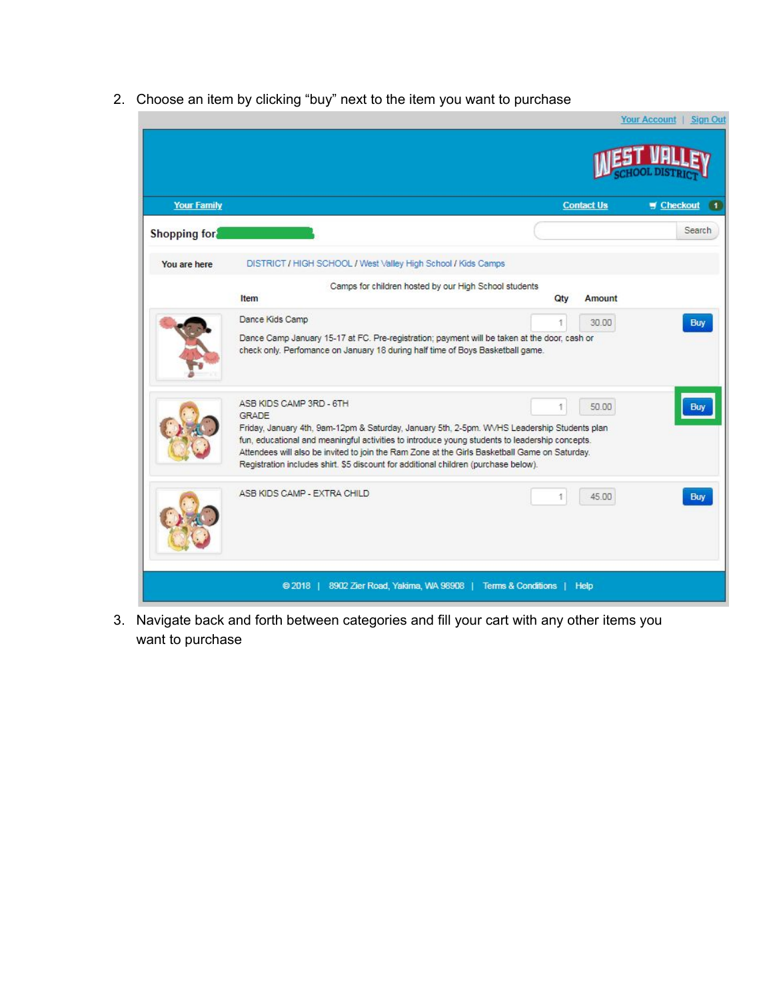2. Choose an item by clicking "buy" next to the item you want to purchase

|                    |                                                                                                                                                                                                                                                                                        |                                                              | Your Account   Sign Out |
|--------------------|----------------------------------------------------------------------------------------------------------------------------------------------------------------------------------------------------------------------------------------------------------------------------------------|--------------------------------------------------------------|-------------------------|
|                    |                                                                                                                                                                                                                                                                                        |                                                              |                         |
| <b>Your Family</b> |                                                                                                                                                                                                                                                                                        | <b>Contact Us</b>                                            | Checkout<br>Γ1          |
| Shopping for       |                                                                                                                                                                                                                                                                                        |                                                              | Search                  |
| You are here       | DISTRICT / HIGH SCHOOL / West Valley High School / Kids Camps                                                                                                                                                                                                                          |                                                              |                         |
|                    | Camps for children hosted by our High School students                                                                                                                                                                                                                                  |                                                              |                         |
|                    | Item                                                                                                                                                                                                                                                                                   | Amount<br><b>Otv</b>                                         |                         |
|                    | Dance Kids Camp                                                                                                                                                                                                                                                                        | Ť<br>30.00                                                   | <b>Buy</b>              |
|                    | Dance Camp January 15-17 at FC. Pre-registration; payment will be taken at the door, cash or<br>check only. Performance on January 18 during half time of Boys Basketball game.                                                                                                        |                                                              |                         |
|                    | ASB KIDS CAMP 3RD - 6TH                                                                                                                                                                                                                                                                | 50.00<br>Ŧ                                                   |                         |
|                    | <b>GRADE</b><br>Friday, January 4th, 9am-12pm & Saturday, January 5th, 2-5pm. WVHS Leadership Students plan                                                                                                                                                                            |                                                              |                         |
|                    | fun, educational and meaningful activities to introduce young students to leadership concepts.<br>Attendees will also be invited to join the Ram Zone at the Girls Basketball Game on Saturday.<br>Registration includes shirt. \$5 discount for additional children (purchase below). |                                                              |                         |
|                    | ASB KIDS CAMP - EXTRA CHILD                                                                                                                                                                                                                                                            | 45.00<br>1                                                   | <b>Buy</b>              |
|                    | $@2018$                                                                                                                                                                                                                                                                                | 8902 Zier Road, Yakima, WA 98908   Terms & Conditions   Help |                         |

3. Navigate back and forth between categories and fill your cart with any other items you want to purchase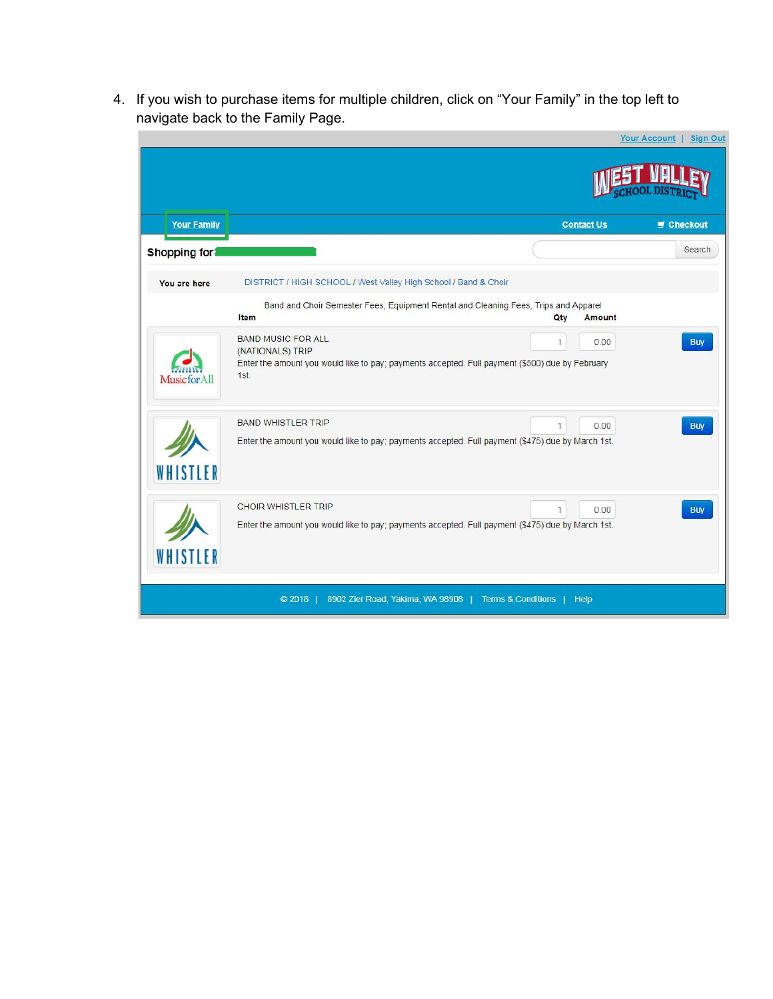4. If you wish to purchase items for multiple children, click on "Your Family" in the top left to navigate back to the Family Page.

|                     |                                                                                                                                                          |     |                   | <b>Your Account</b><br><b>Sign Out</b> |
|---------------------|----------------------------------------------------------------------------------------------------------------------------------------------------------|-----|-------------------|----------------------------------------|
|                     |                                                                                                                                                          |     |                   |                                        |
| <b>Your Family</b>  |                                                                                                                                                          |     | <b>Contact Us</b> | Checkout                               |
| <b>Shopping for</b> |                                                                                                                                                          |     |                   | Search                                 |
| You are here        | DISTRICT / HIGH SCHOOL / West Valley High School / Band & Choir                                                                                          |     |                   |                                        |
|                     | Band and Choir Semester Fees, Equipment Rental and Cleaning Fees, Trips and Apparel<br>Item                                                              | Qty | <b>Amount</b>     |                                        |
| Music for All       | <b>BAND MUSIC FOR ALL</b><br>(NATIONALS) TRIP<br>Enter the amount you would like to pay; payments accepted. Full payment (\$500) due by February<br>1st. | 1   | 0.00              | <b>Buy</b>                             |
| WHISTLER            | <b>BAND WHISTLER TRIP</b><br>Enter the amount you would like to pay; payments accepted. Full payment (\$475) due by March 1st.                           | 1   | 0.00              | <b>Buy</b>                             |
| WHISTLER            | <b>CHOIR WHISTLER TRIP</b><br>Enter the amount you would like to pay; payments accepted. Full payment (\$475) due by March 1st.                          | 1   | 0.00              | <b>Buy</b>                             |
|                     | 8902 Zier Road, Yakima, WA 98908   Terms & Conditions   Help<br>$@2018$                                                                                  |     |                   |                                        |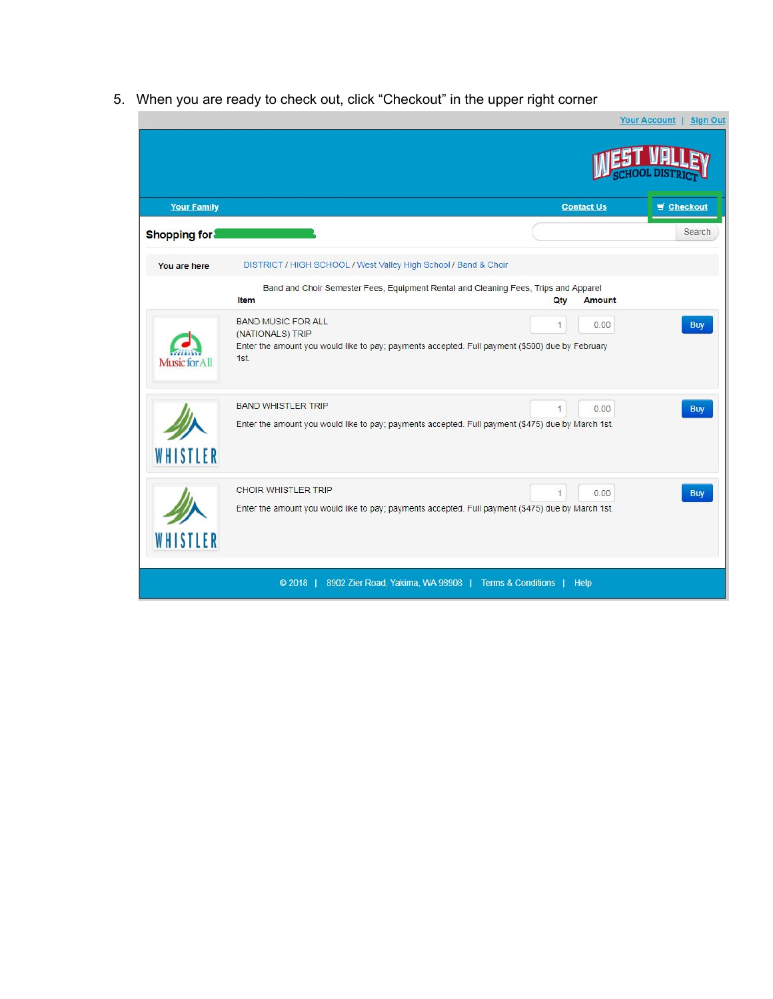5. When you are ready to check out, click "Checkout" in the upper right corner

|                     |                                                                                                                                                          |                        | Your Account   Sign Out |
|---------------------|----------------------------------------------------------------------------------------------------------------------------------------------------------|------------------------|-------------------------|
|                     |                                                                                                                                                          |                        |                         |
| <b>Your Family</b>  |                                                                                                                                                          | <b>Contact Us</b>      | Checkout                |
| <b>Shopping for</b> |                                                                                                                                                          |                        | Search                  |
| You are here        | DISTRICT / HIGH SCHOOL / West Valley High School / Band & Choir                                                                                          |                        |                         |
|                     | Band and Choir Semester Fees, Equipment Rental and Cleaning Fees, Trips and Apparel<br>Item                                                              | Qty<br><b>Amount</b>   |                         |
| Music for All       | <b>BAND MUSIC FOR ALL</b><br>(NATIONALS) TRIP<br>Enter the amount you would like to pay; payments accepted. Full payment (\$500) due by February<br>1st. | 1<br>0.00              | <b>Buy</b>              |
| WHISTLER            | <b>BAND WHISTLER TRIP</b><br>Enter the amount you would like to pay; payments accepted. Full payment (\$475) due by March 1st.                           | $\mathbf{1}$<br>0.00   | <b>Buy</b>              |
| WHISTLER            | <b>CHOIR WHISTLER TRIP</b><br>Enter the amount you would like to pay; payments accepted. Full payment (\$475) due by March 1st.                          | $\overline{1}$<br>0.00 | <b>Buy</b>              |
|                     | 8902 Zier Road, Yakima, WA 98908   Terms & Conditions  <br>@2018                                                                                         | <b>Help</b>            |                         |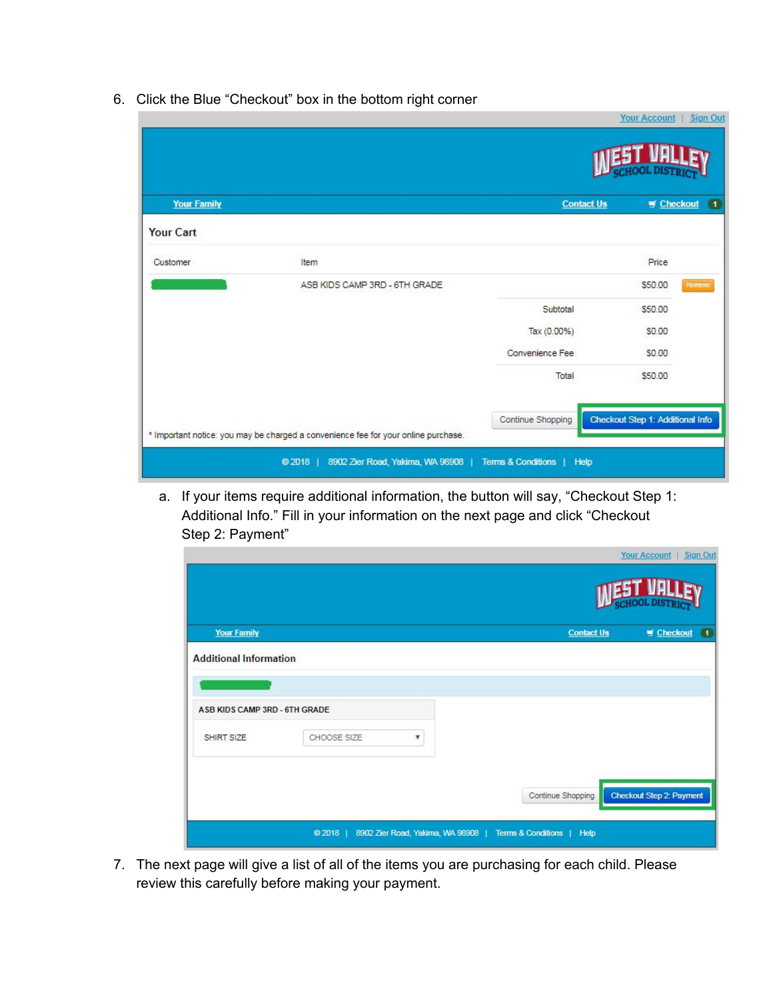6. Click the Blue "Checkout" box in the bottom right corner

| <b>Your Family</b> |                                                                                    | <b>Contact Us</b> | $\bullet$<br><b>W</b> Checkout   |
|--------------------|------------------------------------------------------------------------------------|-------------------|----------------------------------|
| Your Cart          |                                                                                    |                   |                                  |
| Customer           | Item                                                                               |                   | Price                            |
|                    | ASB KIDS CAMP 3RD - 6TH GRADE                                                      |                   | Remove<br>\$50.00                |
|                    |                                                                                    | Subtotal          | \$50.00                          |
|                    |                                                                                    | Tax (0.00%)       | \$0.00                           |
|                    |                                                                                    | Convenience Fee   | \$0.00                           |
|                    |                                                                                    | Total             | \$50.00                          |
|                    |                                                                                    | Continue Shopping | Checkout Step 1: Additional Info |
|                    | * Important notice: you may be charged a convenience fee for your online purchase. |                   |                                  |

a. If your items require additional information, the button will say, "Checkout Step 1: Additional Info." Fill in your information on the next page and click "Checkout Step 2: Payment"

|                               |             |                                  |                           | Your Account   Sign Out  |
|-------------------------------|-------------|----------------------------------|---------------------------|--------------------------|
| <b>Your Family</b>            |             |                                  | <b>Contact Us</b>         | # Checkout 1             |
| <b>Additional Information</b> |             |                                  |                           |                          |
|                               |             |                                  |                           |                          |
| ASB KIDS CAMP 3RD - 6TH GRADE |             |                                  |                           |                          |
| SHIRT SIZE                    | CHOOSE SIZE | ۷                                |                           |                          |
|                               |             |                                  |                           |                          |
|                               |             |                                  | Continue Shopping         | Checkout Step 2: Payment |
|                               | $@2018$     | 8902 Zier Road, Yakima, WA 98908 | Terms & Conditions   Help |                          |

7. The next page will give a list of all of the items you are purchasing for each child. Please review this carefully before making your payment.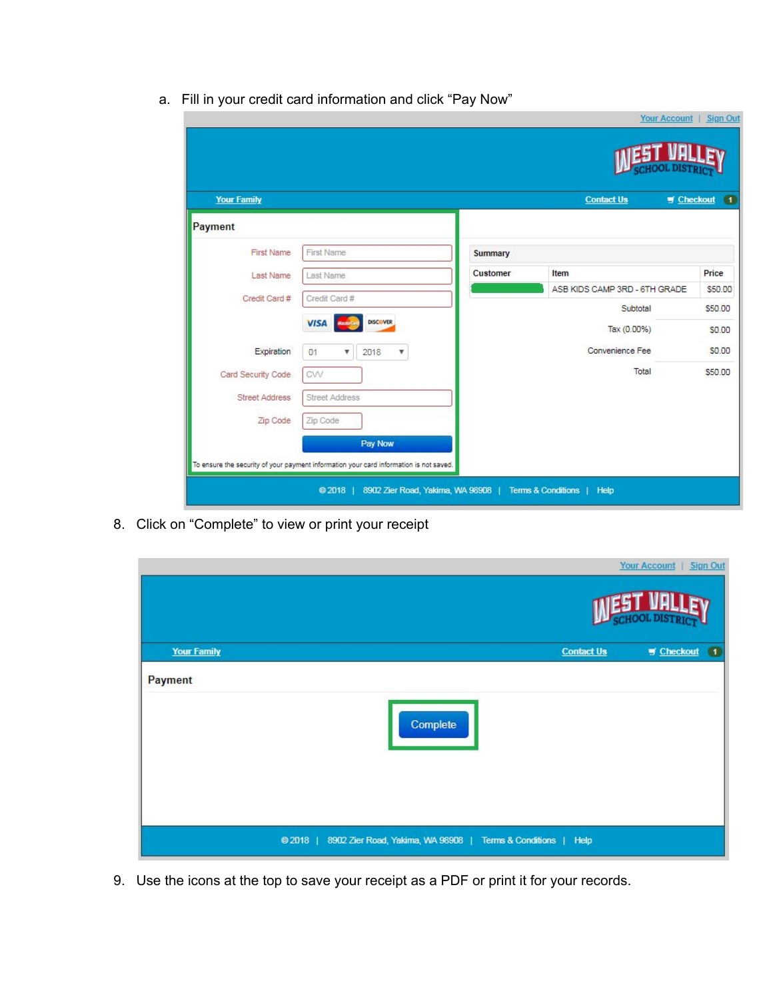|  |  |  | a. Fill in your credit card information and click "Pay Now" |  |  |
|--|--|--|-------------------------------------------------------------|--|--|
|--|--|--|-------------------------------------------------------------|--|--|

| <b>Your Family</b>    |                                                     |                 |          | <b>Contact Us</b><br>$\blacksquare$ Checkout | $\bullet$ |
|-----------------------|-----------------------------------------------------|-----------------|----------|----------------------------------------------|-----------|
| Payment               |                                                     |                 |          |                                              |           |
| <b>First Name</b>     | First Name                                          |                 | Summary  |                                              |           |
| Last Name             | Last Name                                           |                 | Customer | Item                                         | Price     |
| Credit Card #         | Credit Card #                                       |                 |          | ASB KIDS CAMP 3RD - 6TH GRADE                | \$50.00   |
|                       |                                                     |                 |          | Subtotal                                     | \$50.00   |
|                       | <b>VISA</b><br><b>MasterCo</b>                      | <b>DISCOVER</b> |          | Tax (0.00%)                                  | \$0.00    |
| Expiration            | O <sub>1</sub><br>2018<br>$\boldsymbol{\mathrm{v}}$ | v               |          | Convenience Fee                              | \$0.00    |
| Card Security Code    | CW                                                  |                 |          | Total                                        | \$50.00   |
| <b>Street Address</b> | <b>Street Address</b>                               |                 |          |                                              |           |
|                       |                                                     |                 |          |                                              |           |

8. Click on "Complete" to view or print your receipt

|                    |                                                                         |                   | Your Account   Sign Out   |  |  |
|--------------------|-------------------------------------------------------------------------|-------------------|---------------------------|--|--|
|                    |                                                                         |                   |                           |  |  |
| <b>Your Family</b> |                                                                         | <b>Contact Us</b> | $M$ Checkout<br>$\bullet$ |  |  |
| Payment            |                                                                         |                   |                           |  |  |
|                    | Complete                                                                |                   |                           |  |  |
|                    |                                                                         |                   |                           |  |  |
|                    | 8902 Zier Road, Yakima, WA 98908   Terms & Conditions   Help<br>$@2018$ |                   |                           |  |  |

9. Use the icons at the top to save your receipt as a PDF or print it for your records.